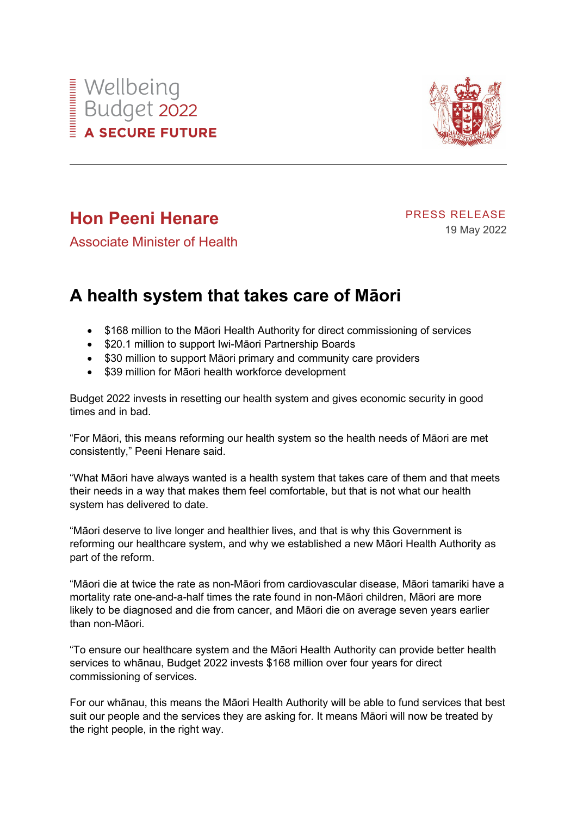



## **Hon Peeni Henare**

PRESS RELEASE 19 May 2022

Associate Minister of Health

## **A health system that takes care of Māori**

- \$168 million to the Māori Health Authority for direct commissioning of services
- \$20.1 million to support Iwi-Māori Partnership Boards
- \$30 million to support Māori primary and community care providers
- \$39 million for Māori health workforce development

Budget 2022 invests in resetting our health system and gives economic security in good times and in bad.

"For Māori, this means reforming our health system so the health needs of Māori are met consistently," Peeni Henare said.

"What Māori have always wanted is a health system that takes care of them and that meets their needs in a way that makes them feel comfortable, but that is not what our health system has delivered to date.

"Māori deserve to live longer and healthier lives, and that is why this Government is reforming our healthcare system, and why we established a new Māori Health Authority as part of the reform.

"Māori die at twice the rate as non-Māori from cardiovascular disease, Māori tamariki have a mortality rate one-and-a-half times the rate found in non-Māori children, Māori are more likely to be diagnosed and die from cancer, and Māori die on average seven years earlier than non-Māori.

"To ensure our healthcare system and the Māori Health Authority can provide better health services to whānau, Budget 2022 invests \$168 million over four years for direct commissioning of services.

For our whānau, this means the Māori Health Authority will be able to fund services that best suit our people and the services they are asking for. It means Māori will now be treated by the right people, in the right way.